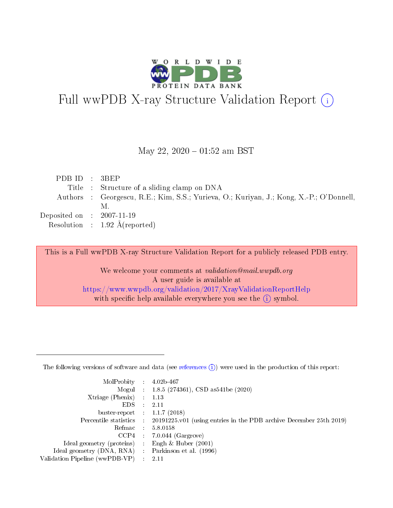

# Full wwPDB X-ray Structure Validation Report (i)

#### May 22,  $2020 - 01:52$  am BST

| PDBID : 3BEP                |                                                                                         |
|-----------------------------|-----------------------------------------------------------------------------------------|
|                             | Title : Structure of a sliding clamp on DNA                                             |
|                             | Authors : Georgescu, R.E.; Kim, S.S.; Yurieva, O.; Kuriyan, J.; Kong, X.-P.; O'Donnell, |
|                             | М.                                                                                      |
| Deposited on : $2007-11-19$ |                                                                                         |
|                             | Resolution : $1.92 \text{ Å}$ (reported)                                                |

This is a Full wwPDB X-ray Structure Validation Report for a publicly released PDB entry.

We welcome your comments at validation@mail.wwpdb.org A user guide is available at <https://www.wwpdb.org/validation/2017/XrayValidationReportHelp> with specific help available everywhere you see the  $(i)$  symbol.

The following versions of software and data (see [references](https://www.wwpdb.org/validation/2017/XrayValidationReportHelp#references)  $(1)$ ) were used in the production of this report:

| MolProbity : 4.02b-467         |   |                                                                                              |
|--------------------------------|---|----------------------------------------------------------------------------------------------|
|                                |   | Mogul : 1.8.5 (274361), CSD as 541be (2020)                                                  |
| $X$ triage (Phenix) :          |   | 1.13                                                                                         |
| EDS.                           |   | 2.11                                                                                         |
| buster-report : $1.1.7$ (2018) |   |                                                                                              |
|                                |   | Percentile statistics : $20191225.v01$ (using entries in the PDB archive December 25th 2019) |
| Refmac :                       |   | 5.8.0158                                                                                     |
| CCP4                           |   | $7.0.044$ (Gargrove)                                                                         |
| Ideal geometry (proteins) :    |   | Engh $\&$ Huber (2001)                                                                       |
| Ideal geometry (DNA, RNA) :    |   | Parkinson et al. (1996)                                                                      |
| Validation Pipeline (wwPDB-VP) | ÷ | -2.11                                                                                        |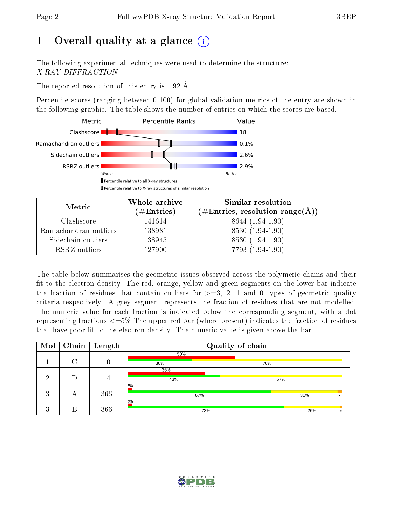# 1 [O](https://www.wwpdb.org/validation/2017/XrayValidationReportHelp#overall_quality)verall quality at a glance  $(i)$

The following experimental techniques were used to determine the structure: X-RAY DIFFRACTION

The reported resolution of this entry is 1.92 Å.

Percentile scores (ranging between 0-100) for global validation metrics of the entry are shown in the following graphic. The table shows the number of entries on which the scores are based.



| Metric                | Whole archive | Similar resolution                                        |
|-----------------------|---------------|-----------------------------------------------------------|
|                       | $(\#Entries)$ | $(\#\text{Entries}, \text{resolution range}(\text{\AA}))$ |
| Clashscore            | 141614        | 8644 (1.94-1.90)                                          |
| Ramachandran outliers | 138981        | 8530 (1.94-1.90)                                          |
| Sidechain outliers    | 138945        | 8530 (1.94-1.90)                                          |
| RSRZ outliers         | 127900        | 7793 (1.94-1.90)                                          |

The table below summarises the geometric issues observed across the polymeric chains and their fit to the electron density. The red, orange, yellow and green segments on the lower bar indicate the fraction of residues that contain outliers for  $\geq=3$ , 2, 1 and 0 types of geometric quality criteria respectively. A grey segment represents the fraction of residues that are not modelled. The numeric value for each fraction is indicated below the corresponding segment, with a dot representing fractions  $\epsilon = 5\%$  The upper red bar (where present) indicates the fraction of residues that have poor fit to the electron density. The numeric value is given above the bar.

| Mol     | $\overline{\text{Chain}}$ | Length | Quality of chain |     |     |     |  |
|---------|---------------------------|--------|------------------|-----|-----|-----|--|
|         |                           |        | 50%              |     |     |     |  |
|         | $\cap$                    | 10     | 30%              | 70% |     |     |  |
|         |                           |        | 36%              |     |     |     |  |
| ച       |                           | 14     | 43%              |     | 57% |     |  |
|         |                           |        | 2%               |     |     |     |  |
| 3       | А                         | 366    | 67%              |     |     | 31% |  |
|         |                           |        | 2%               |     |     |     |  |
| ച<br>Æ. | В                         | 366    | 73%              |     |     | 26% |  |

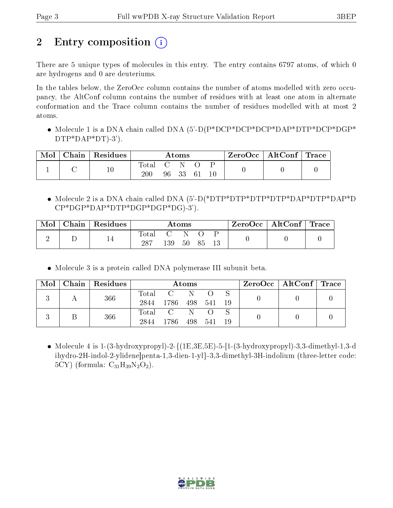# 2 Entry composition  $\left( \cdot \right)$

There are 5 unique types of molecules in this entry. The entry contains 6797 atoms, of which 0 are hydrogens and 0 are deuteriums.

In the tables below, the ZeroOcc column contains the number of atoms modelled with zero occupancy, the AltConf column contains the number of residues with at least one atom in alternate conformation and the Trace column contains the number of residues modelled with at most 2 atoms.

 Molecule 1 is a DNA chain called DNA (5'-D(P\*DCP\*DCP\*DCP\*DAP\*DTP\*DCP\*DGP\* DTP\*DAP\*DT)-3').

| Mol | Chain Residues | Atoms            |  |          | $\text{ZeroOcc}$   AltConf   Trace |        |  |  |
|-----|----------------|------------------|--|----------|------------------------------------|--------|--|--|
|     | $10\,$         | Total C N<br>200 |  | 96 33 61 |                                    | $10\,$ |  |  |

 Molecule 2 is a DNA chain called DNA (5'-D(\*DTP\*DTP\*DTP\*DTP\*DAP\*DTP\*DAP\*D CP\*DGP\*DAP\*DTP\*DGP\*DGP\*DG)-3').

| Mol | Chain   Residues | $\rm{Atoms}$       |     |          | $\text{ZeroOcc} \mid \text{AltConf} \mid \text{Trace}$ |  |  |  |
|-----|------------------|--------------------|-----|----------|--------------------------------------------------------|--|--|--|
|     |                  | $\rm Total$<br>287 | 139 | -N<br>50 | -85                                                    |  |  |  |

Molecule 3 is a protein called DNA polymerase III subunit beta.

|  | $\text{Mol}$   Chain   Residues | Atoms |               |     |      |      |  | $\rm{ZeroOcc}$   AltConf   Trace |  |
|--|---------------------------------|-------|---------------|-----|------|------|--|----------------------------------|--|
|  | 366                             | Total | $\mathcal{C}$ |     |      |      |  |                                  |  |
|  |                                 | 2844  | 1786          | 498 | 541  | - 19 |  |                                  |  |
|  | 366                             |       | Total C       | 'N. |      |      |  |                                  |  |
|  |                                 | 2844  | 1786          | 498 | -541 | -19  |  |                                  |  |

• Molecule 4 is  $1-(3-hydroxypropyl)-2-{(1E,3E,5E)-5-[1-(3-hydroxypropyl)-3,3-dimethyl-1,3-di]}$ ihydro-2H-indol-2-ylidene]penta-1,3-dien-1-yl}-3,3-dimethyl-3H-indolium (three-letter code: 5CY) (formula:  $C_{31}H_{39}N_2O_2$ ).

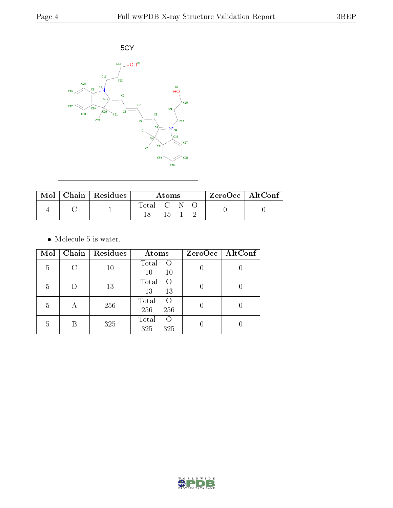

| $\bf{Mol} \perp$ | $\vert$ Chain $\vert$ Residues | Atoms       |  |  | $ZeroOcc \   \ AltConf \  $ |  |
|------------------|--------------------------------|-------------|--|--|-----------------------------|--|
|                  |                                | Total C N O |  |  |                             |  |
|                  |                                |             |  |  |                             |  |

 $\bullet\,$  Molecule 5 is water.

| Mol | Chain | Residues | Atoms                            | $ZeroOcc \mid AltConf \mid$ |
|-----|-------|----------|----------------------------------|-----------------------------|
| 5   | C     | 10       | Total<br>$\circ$<br>10<br>$10\,$ |                             |
| 5   | D     | 13       | Total<br>$\Omega$<br>13<br>13    |                             |
| 5   | А     | 256      | Total<br>O<br>256<br>256         |                             |
| 5   | В     | 325      | Total<br>$\Omega$<br>325<br>325  |                             |

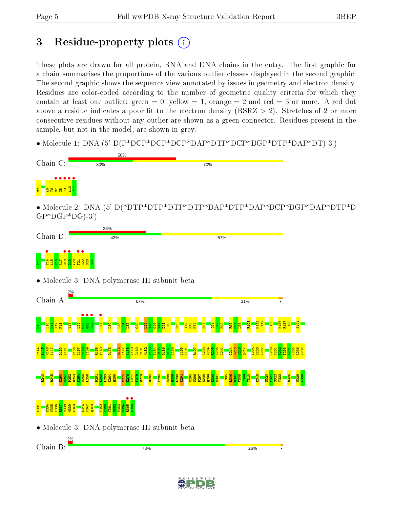# 3 Residue-property plots  $(i)$

These plots are drawn for all protein, RNA and DNA chains in the entry. The first graphic for a chain summarises the proportions of the various outlier classes displayed in the second graphic. The second graphic shows the sequence view annotated by issues in geometry and electron density. Residues are color-coded according to the number of geometric quality criteria for which they contain at least one outlier: green  $= 0$ , yellow  $= 1$ , orange  $= 2$  and red  $= 3$  or more. A red dot above a residue indicates a poor fit to the electron density (RSRZ  $> 2$ ). Stretches of 2 or more consecutive residues without any outlier are shown as a green connector. Residues present in the sample, but not in the model, are shown in grey.

• Molecule 1: DNA (5'-D(P\*DCP\*DCP\*DCP\*DAP\*DTP\*DCP\*DGP\*DTP\*DAP\*DT)-3')



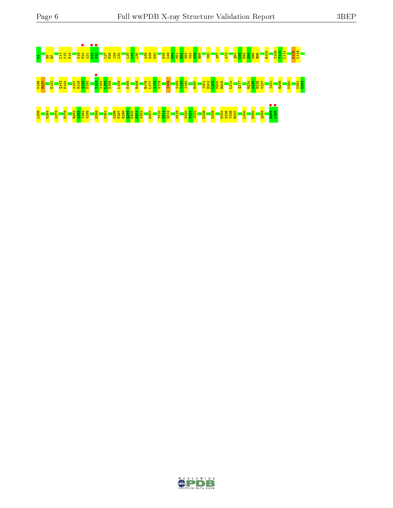# M1E6R7L11 K12 P13 G19 P20 • L21 G22 • G23 • L27 P28 I29 L30 L33 L34 L35 A38 D39 G40 D48 L49 E50 M51 E52 M53 V54 A55 R56 V60 A67 A72 Q91 L92 E93 G94 E95 R96 R100 S109 T110 L111 N118 L119 K136 R137 E140 Q143 F144 A147 H148 Q149 D150 Y153 • Y154 L155 N156 L159 E165 R168 R176 L177 A178 V179 I184 S192 V193 I194 R197 I201 E202 L203 M204 R205 L214 Q217 R224 A225 H226 V227 I231 R246 K250 K254 H255 L256 K264 L273 F278 R282 L283 Y284 V285 N288 K291 N296 P297 E298 Q299 E300 E301 A302 D307 Y310 S311 G312 M315 N320 V321 S322 D326 N329 E334 N335 V336 R337 L340 E350 Q355 R365 • L366 •

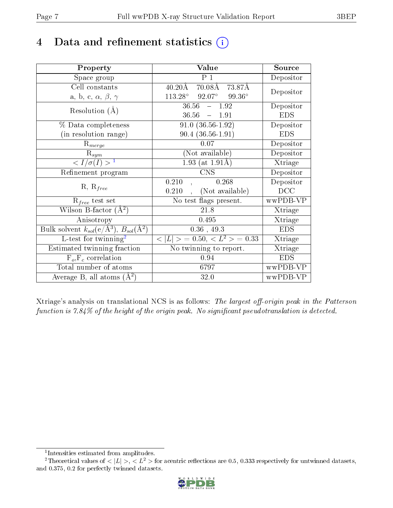# 4 Data and refinement statistics  $(i)$

| Property                                                         | Value                                                    | Source     |
|------------------------------------------------------------------|----------------------------------------------------------|------------|
| Space group                                                      | P <sub>1</sub>                                           | Depositor  |
| Cell constants                                                   | $70.08\text{\AA}$ $73.87\text{\AA}$<br>$40.20\text{\AA}$ |            |
| a, b, c, $\alpha$ , $\beta$ , $\gamma$                           | $92.07^{\circ}$ $99.36^{\circ}$<br>$113.28^\circ$        | Depositor  |
| Resolution $(A)$                                                 | $36.56 - 1.92$                                           | Depositor  |
|                                                                  | 36.56<br>$-1.91$                                         | <b>EDS</b> |
| % Data completeness                                              | $91.0(36.56-1.92)$                                       | Depositor  |
| (in resolution range)                                            | $90.4(36.56-1.91)$                                       | <b>EDS</b> |
| $R_{merge}$                                                      | 0.07                                                     | Depositor  |
| $\mathrm{R}_{sym}$                                               | (Not available)                                          | Depositor  |
| $\langle I/\sigma(I) \rangle^{-1}$                               | 1.93 (at $1.91\text{\AA}$ )                              | Xtriage    |
| Refinement program                                               | <b>CNS</b>                                               | Depositor  |
|                                                                  | 0.210<br>0.268                                           | Depositor  |
| $R, R_{free}$                                                    | (Not available)<br>0.210                                 | DCC        |
| $R_{free}$ test set                                              | No test flags present.                                   | wwPDB-VP   |
| Wilson B-factor $(A^2)$                                          | 21.8                                                     | Xtriage    |
| Anisotropy                                                       | 0.495                                                    | Xtriage    |
| Bulk solvent $k_{sol}(\text{e}/\text{A}^3), B_{sol}(\text{A}^2)$ | $0.36$ , 49.3                                            | <b>EDS</b> |
| $L$ -test for twinning <sup>2</sup>                              | $< L >$ = 0.50, $< L2$ > = 0.33                          | Xtriage    |
| Estimated twinning fraction                                      | No twinning to report.                                   | Xtriage    |
| $F_o, F_c$ correlation                                           | 0.94                                                     | <b>EDS</b> |
| Total number of atoms                                            | 6797                                                     | wwPDB-VP   |
| Average B, all atoms $(A^2)$                                     | 32.0                                                     | wwPDB-VP   |

Xtriage's analysis on translational NCS is as follows: The largest off-origin peak in the Patterson function is  $7.84\%$  of the height of the origin peak. No significant pseudotranslation is detected.

<sup>&</sup>lt;sup>2</sup>Theoretical values of  $\langle |L| \rangle$ ,  $\langle L^2 \rangle$  for acentric reflections are 0.5, 0.333 respectively for untwinned datasets, and 0.375, 0.2 for perfectly twinned datasets.



<span id="page-6-1"></span><span id="page-6-0"></span><sup>1</sup> Intensities estimated from amplitudes.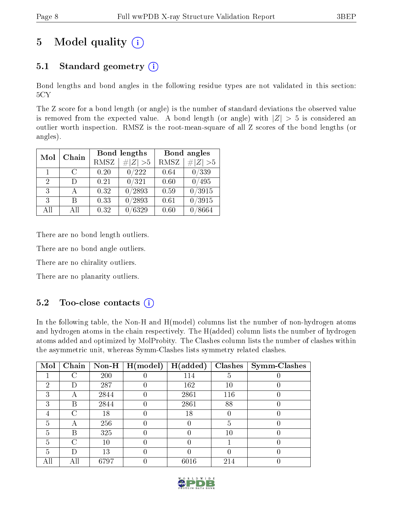# 5 Model quality  $(i)$

## 5.1 Standard geometry  $(i)$

Bond lengths and bond angles in the following residue types are not validated in this section: 5CY

The Z score for a bond length (or angle) is the number of standard deviations the observed value is removed from the expected value. A bond length (or angle) with  $|Z| > 5$  is considered an outlier worth inspection. RMSZ is the root-mean-square of all Z scores of the bond lengths (or angles).

| Mol                         | Chain                       |      | Bond lengths | Bond angles |                     |  |
|-----------------------------|-----------------------------|------|--------------|-------------|---------------------|--|
|                             |                             | RMSZ | $\# Z  > 5$  | RMSZ        | $\ Z\  > 5$         |  |
| 1.                          | $\mathcal{C}_{\mathcal{C}}$ | 0.20 | 0/222        | 0.64        | 0/339               |  |
| $\mathcal{D}_{\mathcal{L}}$ |                             | 0.21 | 0/321        | 0.60        | 495                 |  |
| $\mathcal{E}$               |                             | 0.32 | 0/2893       | 0.59        | 0/3915              |  |
| 3                           | R                           | 0.33 | 0/2893       | 0.61        | $\overline{0/3915}$ |  |
| All                         | Αll                         | 0.32 | /6329        | 0.60        | /8664               |  |

There are no bond length outliers.

There are no bond angle outliers.

There are no chirality outliers.

There are no planarity outliers.

## $5.2$  Too-close contacts  $(i)$

In the following table, the Non-H and H(model) columns list the number of non-hydrogen atoms and hydrogen atoms in the chain respectively. The H(added) column lists the number of hydrogen atoms added and optimized by MolProbity. The Clashes column lists the number of clashes within the asymmetric unit, whereas Symm-Clashes lists symmetry related clashes.

| Mol | Chain | Non-H $\vert$ | H (model) | H(added) | <b>Clashes</b> | <b>Symm-Clashes</b> |
|-----|-------|---------------|-----------|----------|----------------|---------------------|
|     |       | 200           |           | 114      | G              |                     |
| റ   | Ð     | 287           |           | 162      | 10             |                     |
| 3   |       | 2844          |           | 2861     | 116            |                     |
| 3   | В     | 2844          |           | 2861     | 88             |                     |
|     | 0     | 18            |           | 18       |                |                     |
| 5   |       | 256           |           |          | b              |                     |
| 5   | В     | 325           |           |          | 10             |                     |
| 5   | C     | 10            |           |          |                |                     |
| 5   | Ð     | 13            |           |          |                |                     |
|     | Аll   | 6797          |           | 6016     | 214            |                     |

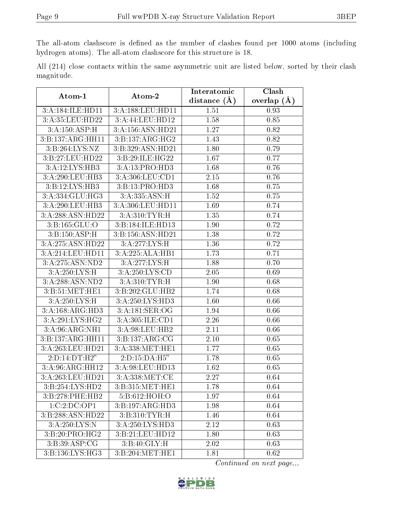The all-atom clashscore is defined as the number of clashes found per 1000 atoms (including hydrogen atoms). The all-atom clashscore for this structure is 18.

|            |  |  | All (214) close contacts within the same asymmetric unit are listed below, sorted by their clash |  |  |  |  |
|------------|--|--|--------------------------------------------------------------------------------------------------|--|--|--|--|
| magnitude. |  |  |                                                                                                  |  |  |  |  |

| Atom-1                              | Atom-2             | Interatomic       | Clash         |
|-------------------------------------|--------------------|-------------------|---------------|
|                                     |                    | distance $(A)$    | overlap $(A)$ |
| 3:A:184:ILE:HD11                    | 3:A:188:LEU:HD11   | 1.51              | 0.93          |
| 3:A:35:LEU:HD22                     | 3:A:44:LEU:HD12    | 1.58              | 0.85          |
| $3:A:150.\overline{ASP:H}$          | 3:A:156:ASN:HD21   | 1.27              | 0.82          |
| 3:B:137:ARG:HH11                    | 3:B:137:ARG:HG2    | 1.43              | 0.82          |
| 3:B:264:LYS:NZ                      | 3:B:329:ASN:HD21   | 1.80              | 0.79          |
| 3:B:27:LEU:HD22                     | 3:B:29:ILE:HG22    | 1.67              | 0.77          |
| 3:A:12:LYS:HB3                      | 3:A:13:PRO:HD3     | 1.68              | 0.76          |
| 3:A:290:LEU:HB3                     | 3:A:306:LEU:CD1    | 2.15              | 0.76          |
| 3:B:12:LYS:HB3                      | 3:B:13:PRO:HD3     | 1.68              | 0.75          |
| 3:A:334:GLU:HG3                     | 3:A:335:ASN:H      | 1.52              | 0.75          |
| 3:A:290:LEU:HB3                     | 3:A:306:LEU:HD11   | 1.69              | 0.74          |
| 3:A:288:ASN:HD22                    | 3:A:310:TYR:H      | 1.35              | 0.74          |
| 3:B:165:GLU:O                       | 3:B:184:ILE:HD13   | 1.90              | 0.72          |
| 3:B:150:ASP:H                       | 3:B:156:ASN:HD21   | 1.38              | 0.72          |
| 3:A:275:ASN:HD22                    | 3:A:277:LYS:H      | 1.36              | 0.72          |
| 3:A:214:LEU:HD11                    | 3:A:225:ALA:HB1    | 1.73              | 0.71          |
| 3:A:275:ASN:ND2                     | 3:A:277:LYS:H      | $1.\overline{88}$ | 0.70          |
| 3:A:250:LYS:H                       | 3:A:250:LYS:CD     | 2.05              | 0.69          |
| 3: A:288: ASN:ND2                   | 3:A:310:TYR:H      | 1.90              | 0.68          |
| 3: B:51: MET:HE1                    | 3:B:202:GLU:HB2    | 1.74              | 0.68          |
| 3:A:250:LYS:H                       | 3:A:250:LYS:HD3    | 1.60              | 0.66          |
| 3:A:168:ARG:HD3                     | 3:A:181:SER:OG     | 1.94              | 0.66          |
| 3:A:291:LYS:HG2                     | 3:A:305:ILE:CD1    | 2.26              | 0.66          |
| 3:A:96:ARG:NH1                      | 3:A:98:LEU:HB2     | 2.11              | 0.66          |
| 3:B:137:ARG:HH11                    | 3: B: 137: ARG: CG | 2.10              | 0.65          |
| 3:A:263:LEU:HD21                    | 3:A:338:MET:HE1    | 1.77              | 0.65          |
| 2: D: 14: DT:H2"                    | 2:D:15:DA:H5"      | 1.78              | 0.65          |
| $3:A:96:A\overline{\text{RG:HH12}}$ | 3:A:98:LEU:HD13    | 1.62              | 0.65          |
| 3:A:263:LEU:HD21                    | 3: A: 338: MET:CE  | $\overline{2.27}$ | 0.64          |
| 3:B:254:LYS:HD2                     | 3:B:315:MET:HE1    | 1.78              | 0.64          |
| 3:B:278:PHE:HB2                     | 5:B:612:HOH:O      | 1.97              | 0.64          |
| 1:C:2:D C:OP1                       | 3:B:197:ARG:HD3    | 1.98              | 0.64          |
| 3:B:288:ASN:HD22                    | 3:B:310:TYR:H      | 1.46              | 0.64          |
| 3: A: 250: LYS: N                   | 3:A:250:LYS:HD3    | 2.12              | 0.63          |
| 3:B:20:PRO:HG2                      | 3:B:21:LEU:HD12    | 1.80              | 0.63          |
| 3:B:39:ASP:CG                       | 3: B:40: GLY:H     | 2.02              | 0.63          |
| 3:B:136:LYS:HG3                     | 3:B:204:MET:HE1    | 1.81              | 0.62          |

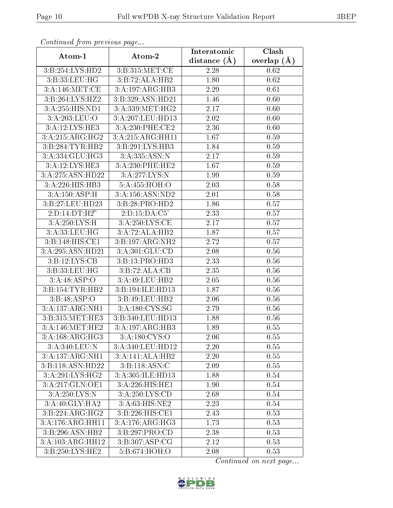| Continuati prom provious pago          |                                                      | Interatomic       | Clash         |
|----------------------------------------|------------------------------------------------------|-------------------|---------------|
| Atom-1                                 | Atom-2                                               | distance $(A)$    | overlap $(A)$ |
| 3:B:254:LYS:HD2                        | 3:B:315:MET:CE                                       | 2.28              | 0.62          |
| 3:B:33:LEU:HG                          | 3:B:72:ALA:HB2                                       | 1.80              | 0.62          |
| 3:A:146:MET:CE                         | 3:A:197:ARG:HB3                                      | 2.29              | 0.61          |
| 3:B:264:LYS:HZ2                        | 3:B:329:ASN:HD21                                     | 1.46              | 0.60          |
| 3:A:255:HIS:ND1                        | 3:A:339:MET:HG2                                      | 2.17              | 0.60          |
| 3:A:203:LEU:O                          | 3:A:207:LEU:HD13                                     | 2.02              | 0.60          |
| 3:A:12:LYS:HE3                         | $3:A:230:$ PHE: $\overline{\text{CE2}}$              | 2.36              | 0.60          |
| 3:A:215:ARG:HG2                        | 3:A:215:ARG:HH11                                     | 1.67              | 0.59          |
| 3:B:284:TYR:HB2                        | 3:B:291:LYS:HB3                                      | 1.84              | 0.59          |
| 3:A:334:GLU:HG3                        | 3:A:335:ASN:N                                        | 2.17              | 0.59          |
| 3:A:12:LYS:HE3                         | 3:A:230:PHE:HE2                                      | 1.67              | 0.59          |
| 3:A:275:ASN:HD22                       | 3:A:277:LYS:N                                        | 1.99              | 0.59          |
| 3:A:226:HIS:HB3                        | 5:A:455:HOH:O                                        | 2.03              | 0.58          |
| 3:A:150:ASP:H                          | 3:A:156:ASN:ND2                                      | 2.01              | 0.58          |
| 3:B:27:LEU:HD23                        | 3:B:28:PRO:HD2                                       | 1.86              | 0.57          |
| 2:D:14:DT:H2"                          | 2:D:15:DA:C5'                                        | 2.33              | 0.57          |
| 3:A:250:LYS:H                          | 3:A:250:LYS:CE                                       | 2.17              | 0.57          |
| 3:A:33:LEU:HG                          | 3:A:72:ALA:HB2                                       | 1.87              | 0.57          |
| $3: B: 148: \overline{\text{HIS:CE1}}$ | 3:B:197:ARG:NH2                                      | 2.72              | 0.57          |
| 3: A:295: ASN: HD21                    | 3:A:301:GLU:CD                                       | 2.08              | 0.56          |
| 3:B:12:LYS:CB                          | 3:B:13:PRO:HD3                                       | 2.33              | 0.56          |
| 3:B:33:LEU:HG                          | 3:B:72:ALA:CB                                        | 2.35              | 0.56          |
| 3:A:48:ASP:O                           | 3:A:49:LEU:HB2                                       | 2.05              | 0.56          |
| 3:B:154:TYR:HB2                        | 3:B:194:ILE:HD13                                     | 1.87              | 0.56          |
| 3: B: 48: ASP: O                       | 3:B:49:LEU:HB2                                       | 2.06              | 0.56          |
| 3:A:137:ARG:NH1                        | $3:A:180:\overline{\text{CYS}:}\overline{\text{SG}}$ | 2.79              | 0.56          |
| 3:B:315:MET:HE3                        | 3:B:340:LEU:HD13                                     | 1.88              | 0.56          |
| 3: A:146:MET:HE2                       | 3:A:197:ARG:HB3                                      | 1.89              | 0.55          |
| 3:A:168:ARG:HG3                        | 3: A:180: CYS:O                                      | 2.06              | 0.55          |
| 3:A:340:LEU:N                          | 3:A:340:LEU:HD12                                     | 2.20              | 0.55          |
| 3:A:137:ARG:NH1                        | 3:A:141:ALA:HB2                                      | 2.20              | 0.55          |
| 3:B:118:ASN:HD22                       | 3:BA:AB:ASN:C                                        | $2.09\,$          | 0.55          |
| 3:A:291:LYS:HG2                        | 3:A:305:ILE:HD13                                     | 1.88              | 0.54          |
| 3:A:217:GLN:OE1                        | 3:A:226:HIS:HE1                                      | 1.90              | 0.54          |
| 3:A:250:LYS:N                          | 3:A:250:LYS:CD                                       | 2.68              | 0.54          |
| 3:A:40:GLY:HA2                         | 3:A:63:HIS:NE2                                       | $2.\overline{23}$ | 0.54          |
| 3:B:224:ARG:HG2                        | 3:B:226:HIS:CE1                                      | 2.43              | 0.53          |
| 3:A:176:ARG:HH11                       | 3:A:176:ARG:HG3                                      | 1.73              | 0.53          |
| 3:B:296:ASN:HB2                        | 3: B:297: PRO:CD                                     | 2.38              | 0.53          |
| 3:A:103:ARG:HH12                       | 3:B:307:ASP:CG                                       | 2.12              | 0.53          |
| 3:B:250:LYS:HE2                        | 5:B:674:HOH:O                                        | 2.08              | 0.53          |

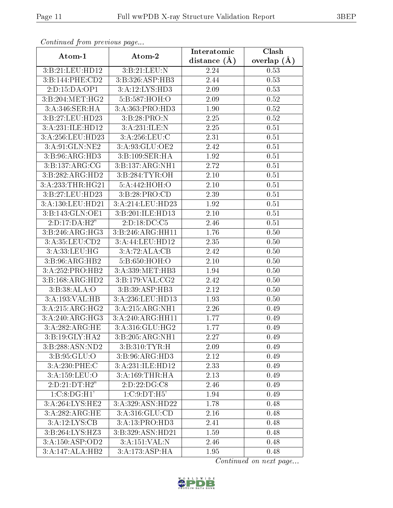| Continuea from previous page |                             | Interatomic    | Clash         |
|------------------------------|-----------------------------|----------------|---------------|
| Atom-1                       | Atom-2                      | distance $(A)$ | overlap $(A)$ |
| 3:B:21:LEU:HD12              | 3: B:21: LEU: N             | 2.24           | 0.53          |
| 3:B:144:PHE:CD2              | 3:B:326:ASP:HB3             | 2.44           | 0.53          |
| 2:D:15:DA:OP1                | 3:A:12:LYS:HD3              | 2.09           | 0.53          |
| 3: B:204:MET:HG2             | 5:B:587:HOH:O               | 2.09           | 0.52          |
| 3:A:346:SER:HA               | 3:A:363:PRO:HD3             | 1.90           | 0.52          |
| 3:B:27:LEU:HD23              | 3:B:28:PRO:N                | 2.25           | 0.52          |
| 3:A:231:ILE:HD12             | 3:A:231:ILE:N               | 2.25           | 0.51          |
| 3:A:256:LEU:HD23             | 3:A:256:LEU:C               | 2.31           | 0.51          |
| 3:A:91:GLN:NE2               | 3:A:93:GLU:OE2              | 2.42           | 0.51          |
| 3:B:96:ARG:HD3               | 3:B:109:SER:HA              | 1.92           | 0.51          |
| 3: B: 137: ARG: CG           | 3:B:137:ARG:NH1             | 2.72           | 0.51          |
| 3:B:282:ARG:HD2              | 3: B:284: TYR:OH            | 2.10           | 0.51          |
| 3:A:233:THR:HG21             | 5:A:442:HOH:O               | 2.10           | 0.51          |
| 3:B:27:LEU:HD23              | 3:B:28:PRO:CD               | 2.39           | 0.51          |
| 3:A:130:LEU:HD21             | 3:A:214:LEU:HD23            | 1.92           | 0.51          |
| 3:B:143:GLN:OE1              | 3:B:201:ILE:HD13            | 2.10           | 0.51          |
| 2:D:17:DA:H2"                | 2:D:18:DC:C5                | 2.46           | 0.51          |
| 3: B:246: ARG:HG3            | 3:B:246:ARG:HH11            | 1.76           | 0.50          |
| 3:A:35:LEU:CD2               | 3:A:44:LEU:HD12             | 2.35           | 0.50          |
| 3:A:33:LEU:HG                | 3:A:72:ALA:CB               | 2.42           | 0.50          |
| 3:B:96:ARG:HB2               | 5:B:650:HOH:O               | 2.10           | 0.50          |
| 3:A:252:PRO:HB2              | 3:A:339:MET:HB3             | 1.94           | 0.50          |
| 3:B:168:ARG:HD2              | 3:B:179:VAL:CG2             | 2.42           | 0.50          |
| 3:B:38:ALA:O                 | $3:B:39:A\overline{SP:HB3}$ | 2.12           | 0.50          |
| 3:A:193:VAL:HB               | 3:A:236:LEU:HD13            | 1.93           | 0.50          |
| 3:A:215:ARG:HG2              | 3:A:215:ARG:NH1             | 2.26           | 0.49          |
| 3:A:240:ARG:HG3              | 3:A:240:ARG:HH11            | 1.77           | 0.49          |
| 3:A:282:ARG:HE               | 3:A:316:GLU:HG2             | 1.77           | 0.49          |
| 3:B:19:GLY:HA2               | 3:B:205:ARG:NH1             | 2.27           | 0.49          |
| 3:B:288:ASN:ND2              | 3:B:310:TYR:H               | 2.09           | 0.49          |
| 3: B:95: GLU:O               | 3:B:96:ARG:HD3              | 2.12           | 0.49          |
| 3:A:230:PHE:C                | 3:A:231:ILE:HD12            | 2.33           | 0.49          |
| 3:A:159:LEU:O                | 3:A:169:THR:HA              | 2.13           | 0.49          |
| 2:D:21:DT:H2"                | 2:D:22:DG:C8                | 2.46           | 0.49          |
| 1:C:8:DG:H1'                 | 1:C:9:DT:H5'                | 1.94           | 0.49          |
| 3:A:264:LYS:HE2              | 3:A:329:ASN:HD22            | 1.78           | 0.48          |
| 3:A:282:ARG:HE               | 3:A:316:GLU:CD              | 2.16           | 0.48          |
| 3:A:12:LYS:CB                | 3:A:13:PRO:HD3              | 2.41           | 0.48          |
| 3:B:264:LYS:HZ3              | 3:B:329:ASN:HD21            | 1.59           | 0.48          |
| 3:A:150:ASP:OD2              | 3:A:151:VAL:N               | 2.46           | 0.48          |
| $3:A:147:AL\overline{A:H}B2$ | 3:A:173:ASP:HA              | 1.95           | 0.48          |

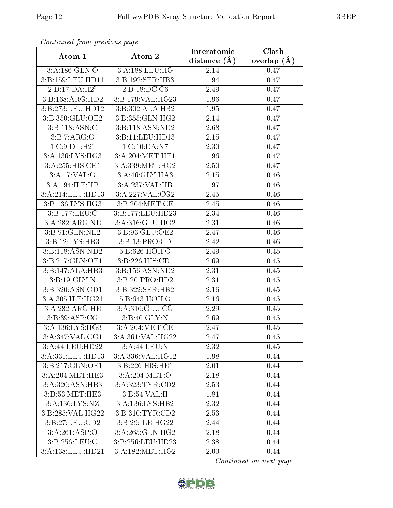| connuncu jioin previous page   |                                      | Interatomic       | Clash           |
|--------------------------------|--------------------------------------|-------------------|-----------------|
| Atom-1                         | Atom-2                               | distance $(A)$    | overlap $(\AA)$ |
| 3:A:186:GLN:O                  | 3:A:188:LEU:HG                       | 2.14              | 0.47            |
| 3:B:159:LEU:HD11               | 3:B:192:SER:HB3                      | 1.94              | 0.47            |
| 2: D: 17: DA:H2"               | 2:D:18:DC:CG                         | 2.49              | 0.47            |
| 3:B:168:ARG:HD2                | 3:B:179:VAL:HG23                     | 1.96              | 0.47            |
| 3:B:273:LEU:HD12               | 3:B:302:ALA:HB2                      | 1.95              | 0.47            |
| 3:B:350:GLU:OE2                | 3:B:355:GLN:HG2                      | 2.14              | 0.47            |
| 3: B: 118: ASN: C              | 3:B:118:ASN:ND2                      | 2.68              | 0.47            |
| 3: B: 7: ARG: O                | 3:B:11:LEU:HD13                      | 2.15              | 0.47            |
| 1:C:9:DT:H2"                   | 1:C:10:DA:N7                         | 2.30              | 0.47            |
| 3:A:136:LYS:HG3                | 3:A:204:MET:HE1                      | 1.96              | 0.47            |
| 3:A:255:HIS:CE1                | 3:A:339:MET:HG2                      | 2.50              | 0.47            |
| 3:A:17:VAL:O                   | 3:A:46:GLY:HA3                       | 2.15              | 0.46            |
| 3:A:194:ILE:HB                 | 3:A:237:VAL:HB                       | 1.97              | 0.46            |
| 3:A:214:LEU:HD13               | 3:A:227:VAL:CG2                      | 2.45              | 0.46            |
| 3:B:136:LYS:HG3                | 3:B:204:MET:CE                       | 2.45              | 0.46            |
| 3:B:177:LEU:C                  | 3:B:177:LEU:HD23                     | 2.34              | 0.46            |
| 3:A:282:ARG:NE                 | 3:A:316:GLU:HG2                      | 2.31              | 0.46            |
| 3:B:91:GLN:NE2                 | $3: B:93: GLU: \overline{OE2}$       | 2.47              | 0.46            |
| 3:B:12:LYS:HB3                 | 3:B:13:PRO:CD                        | 2.42              | 0.46            |
| 3:B:118:ASN:ND2                | 5:B:626:HOH:O                        | 2.49              | 0.45            |
| 3:B:217:GLN:OE1                | 3:B:226:HIS:CE1                      | 2.69              | 0.45            |
| 3:B:147:ALA:HB3                | 3:B:156:ASN:ND2                      | 2.31              | 0.45            |
| 3: B: 19: GLY:N                | 3:B:20:PRO:HD2                       | 2.31              | 0.45            |
| $3: B:320: \overline{ASN:OD1}$ | 3:B:322:SER:HB2                      | 2.16              | 0.45            |
| 3:A:305:ILE:HG21               | 5:B:643:HOH:O                        | 2.16              | 0.45            |
| 3:A:282:ARG:HE                 | 3:A:316:GLU:CG                       | 2.29              | 0.45            |
| 3:B:39:ASP:CG                  | 3: B:40: GLY:N                       | 2.69              | 0.45            |
| 3:A:136:LYS:HG3                | 3: A:204: MET:CE                     | 2.47              | 0.45            |
| $3:A:347:VAL: \overline{CG1}$  | $3:A:361:\overline{\text{VAL}:HG22}$ | 2.47              | 0.45            |
| 3:A:44:LEU:HD22                | 3:A:44:LEU:N                         | 2.32              | 0.45            |
| 3:A:331:LEU:HD13               | 3:A:336:VAL:HG12                     | 1.98              | 0.44            |
| 3:B:217:GLN:OE1                | 3:B:226:HIS:HE1                      | $\overline{2}.01$ | 0.44            |
| 3:A:204:MET:HE3                | 3:A:204:MET:O                        | 2.18              | 0.44            |
| 3:A:320:ASN:HB3                | 3:A:323:TYR:CD2                      | 2.53              | 0.44            |
| 3:B:53:MET:HE3                 | 3: B:54: VAL:H                       | 1.81              | 0.44            |
| 3:A:136:LYS:NZ                 | 3:A:136:LYS:HB2                      | 2.32              | 0.44            |
| 3:B:285:VAL:HG22               | 3: B: 310: TYR: CD2                  | $2.53\,$          | 0.44            |
| 3:B:27:LEU:CD2                 | 3:B:29:ILE:HG22                      | 2.44              | 0.44            |
| 3:A:261:ASP:O                  | 3:A:265:GLN:HG2                      | 2.18              | 0.44            |
| $3: B: 256:$ LEU:C             | 3:B:256:LEU:HD23                     | 2.38              | 0.44            |
| 3:A:138:LEU:HD21               | 3:A:182:MET:HG2                      | 2.00              | 0.44            |

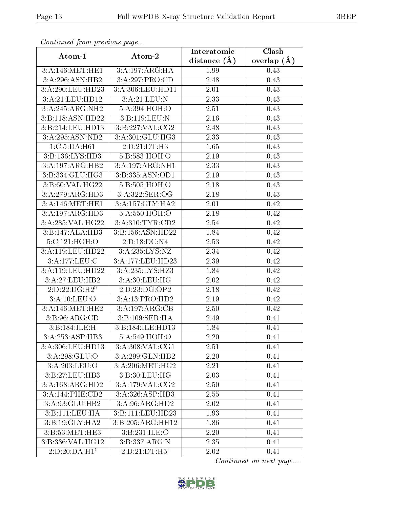| Commune from previous page |                            | Interatomic    | Clash         |
|----------------------------|----------------------------|----------------|---------------|
| Atom-1                     | Atom-2                     | distance $(A)$ | overlap $(A)$ |
| 3:A:146:MET:HE1            | 3:A:197:ARG:HA             | 1.99           | 0.43          |
| 3:A:296:ASN:HB2            | 3:A:297:PRO:CD             | 2.48           | 0.43          |
| 3:A:290:LEU:HD23           | 3:A:306:LEU:HD11           | 2.01           | 0.43          |
| 3:A:21:LEU:HD12            | 3:A:21:LEU:N               | 2.33           | 0.43          |
| 3:A:245:ARG:NH2            | 5:A:394:HOH:O              | 2.51           | 0.43          |
| 3:B:118:ASN:HD22           | 3:B:119:LEU:N              | 2.16           | 0.43          |
| 3:B:214:LEU:HD13           | 3:B:227:VAL:CG2            | 2.48           | 0.43          |
| 3:A:295:ASN:ND2            | 3:A:301:GLU:HG3            | 2.33           | 0.43          |
| 1: C: 5: DA: H61           | 2:D:21:DT:H3               | 1.65           | 0.43          |
| 3:B:136:LYS:HD3            | 5:B:583:HOH:O              | 2.19           | 0.43          |
| 3:A:197:ARG:HB2            | 3:A:197:ARG:NH1            | 2.33           | 0.43          |
| 3:B:334:GLU:HG3            | 3:B:335:ASN:OD1            | 2.19           | 0.43          |
| 3:B:60:VAL:HG22            | 5:B:505:HOH:O              | 2.18           | 0.43          |
| 3:A:279:ARG:HD3            | 3:A:322:SER:OG             | 2.18           | 0.43          |
| 3:A:146:MET:HE1            | 3:A:157:GLY:HA2            | 2.01           | 0.42          |
| 3:A:197:ARG:HD3            | 5: A:550:HOH:O             | 2.18           | 0.42          |
| 3:A:285:VAL:HG22           | 3:A:310:TYR:CD2            | 2.54           | 0.42          |
| 3:B:147:ALA:HB3            | 3:B:156:ASN:HD22           | 1.84           | 0.42          |
| 5:C:121:HOH:O              | $2:D:18:\overline{DC:N4}$  | 2.53           | 0.42          |
| 3:A:119:LEU:HD22           | 3:A:235:LYS:NZ             | 2.34           | 0.42          |
| 3:A:177:LEU:C              | 3:A:177:LEU:HD23           | 2.39           | 0.42          |
| 3:A:119:LEU:HD22           | 3:A:235:LYS:HZ3            | 1.84           | 0.42          |
| 3:A:27:LEU:HB2             | 3:A:30:LEU:HG              | 2.02           | 0.42          |
| 2:D:22:DG:H2"              | 2:D:23:DG:OP2              | 2.18           | 0.42          |
| 3:A:10:LEU:O               | 3:A:13:PRO:HD2             | 2.19           | 0.42          |
| 3: A:146:MET:HE2           | 3:A:197:ARG:CB             | 2.50           | 0.42          |
| 3: B:96: ARG:CD            | 3:B:109:SER:HA             | 2.49           | 0.41          |
| 3:B:184:ILE:H              | 3:B:184:ILE:HD13           | 1.84           | 0.41          |
| 3:A:253:ASP:HB3            | $5:A:549:\overline{HOH:O}$ | 2.20           | 0.41          |
| 3: A:306:LEU:HD13          | 3: A:308: VAL:CG1          | 2.51           | 0.41          |
| 3:A:298:GLU:O              | 3:A:299:GLN:HB2            | 2.20           | 0.41          |
| 3:A:203:LEU:O              | 3: A:206:MET:HG2           | 2.21           | 0.41          |
| 3:B:27:LEU:HB3             | 3: B: 30: LEU: HG          | 2.03           | 0.41          |
| 3:A:168:ARG:HD2            | 3:A:179:VAL:CG2            | 2.50           | 0.41          |
| 3:A:144:PHE:CD2            | 3:A:326:ASP:HB3            | 2.55           | 0.41          |
| 3:A:93:GLU:HB2             | 3:A:96:ARG:HD2             | 2.02           | 0.41          |
| 3:B:111:LEU:HA             | 3:B:111:LEU:HD23           | 1.93           | 0.41          |
| 3:B:19:GLY:HA2             | 3:B:205:ARG:HH12           | 1.86           | 0.41          |
| 3:B:53:MET:HE3             | 3:B:231:ILE:O              | 2.20           | 0.41          |
| 3:B:336:VAL:HG12           | 3:B:337:ARG:N              | 2.35           | 0.41          |
| 2:D:20:DA:H1'              | 2:D:21:DT:H5'              | 2.02           | 0.41          |

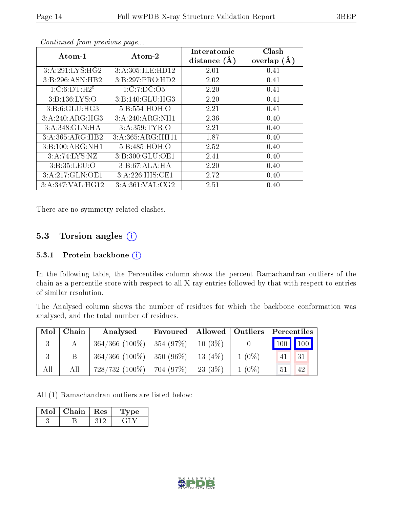| Atom-1            | Atom-2           | Interatomic    | Clash         |
|-------------------|------------------|----------------|---------------|
|                   |                  | distance $(A)$ | overlap $(A)$ |
| 3:A:291:LYS:HG2   | 3:A:305:ILE:HD12 | 2.01           | 0.41          |
| 3:B:296:ASN:HB2   | 3:B:297:PRO:HD2  | 2.02           | 0.41          |
| 1:C:6:DT:H2"      | 1:C:7:DC:O5'     | 2.20           | 0.41          |
| 3: B: 136: LYS: O | 3:B:140:GLU:HG3  | 2.20           | 0.41          |
| 3: B: 6: GLU: HG3 | 5:B:554:HOH:O    | 2.21           | 0.41          |
| 3:A:240:ARG:HG3   | 3:A:240:ARG:NH1  | 2.36           | 0.40          |
| 3:A:348:GLN:HA    | 3: A:359: TYR:O  | 2.21           | 0.40          |
| 3:A:365:ARG:HB2   | 3:A:365:ARG:HH11 | 1.87           | 0.40          |
| 3:B:100:ARG:NH1   | 5:B:485:HOH:O    | 2.52           | 0.40          |
| 3:A:74:LYS:NZ     | 3:B:300:GLU:OE1  | 2.41           | 0.40          |
| 3:B:35:LEU:O      | 3:B:67:ALA:HA    | 2.20           | 0.40          |
| 3:A:217:GLN:OE1   | 3:A:226:HIS:CE1  | 2.72           | 0.40          |
| 3:A:347:VAL:HG12  | 3:A:361:VAL:CG2  | 2.51           | 0.40          |

There are no symmetry-related clashes.

## 5.3 Torsion angles  $(i)$

#### 5.3.1 Protein backbone (i)

In the following table, the Percentiles column shows the percent Ramachandran outliers of the chain as a percentile score with respect to all X-ray entries followed by that with respect to entries of similar resolution.

The Analysed column shows the number of residues for which the backbone conformation was analysed, and the total number of residues.

| $\bf{Mol}$ | Chain | Analysed                                  | Favoured   Allowed   Outliers |          |          | Percentiles |
|------------|-------|-------------------------------------------|-------------------------------|----------|----------|-------------|
| 3          | А     | $364/366$ (100\%)   354 (97\%)   10 (3\%) |                               |          |          |             |
| 3          | Β     | $364/366$ (100\%)   350 (96\%)            |                               | 13(4%)   | $1(0\%)$ | 31<br>41    |
| All        | All   | $728/732(100\%)$   704 (97%)              |                               | 23 (3\%) | $1(0\%)$ | 42<br>51    |

All (1) Ramachandran outliers are listed below:

| Mol | ${\bf Chain}$ | $\perp$ Res | vpe |
|-----|---------------|-------------|-----|
|     |               |             |     |

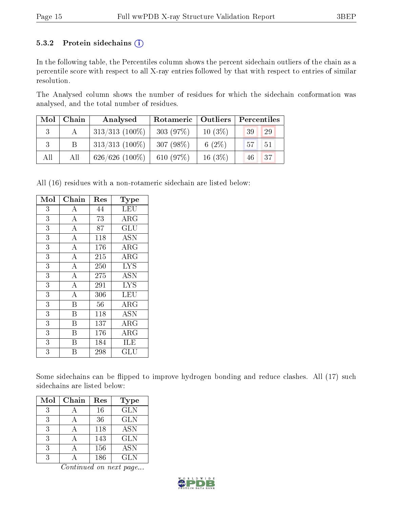#### 5.3.2 Protein sidechains  $(i)$

In the following table, the Percentiles column shows the percent sidechain outliers of the chain as a percentile score with respect to all X-ray entries followed by that with respect to entries of similar resolution.

The Analysed column shows the number of residues for which the sidechain conformation was analysed, and the total number of residues.

| $\text{Mol}$ | Chain | Analysed          | Rotameric   Outliers |           | Percentiles                    |
|--------------|-------|-------------------|----------------------|-----------|--------------------------------|
|              |       | $313/313$ (100\%) | 303(97%)             | $10(3\%)$ | 29<br>39                       |
|              | B     | $313/313$ (100%)  | 307(98%)             | 6 $(2\%)$ | 57 <sub>1</sub><br>$\sqrt{51}$ |
| All          | All   | $626/626$ (100\%) | 610 (97%)            | $16(3\%)$ | 37<br>46                       |

All (16) residues with a non-rotameric sidechain are listed below:

| Mol            | Chain              | Res | Type                            |
|----------------|--------------------|-----|---------------------------------|
| 3              | $\boldsymbol{A}$   | 44  | LEU                             |
| 3              | $\overline{\rm A}$ | 73  | ${\rm ARG}$                     |
| 3              | $\overline{A}$     | 87  | GLU                             |
| 3              | $\overline{A}$     | 118 | <b>ASN</b>                      |
| $\overline{3}$ | $\overline{\rm A}$ | 176 | $\rm{ARG}$                      |
| 3              | $\overline{\rm A}$ | 215 | ARG                             |
| 3              | $\overline{\rm A}$ | 250 | $\overline{\text{L}} \text{YS}$ |
| 3              | $\overline{\rm A}$ | 275 | ASN                             |
| 3              | $\overline{\rm A}$ | 291 | <b>LYS</b>                      |
| $\overline{3}$ | $\overline{A}$     | 306 | LEU                             |
| 3              | B                  | 56  | $\rm{ARG}$                      |
| 3              | Β                  | 118 | <b>ASN</b>                      |
| 3              | B                  | 137 | $\rm{ARG}$                      |
| 3              | B                  | 176 | ARG                             |
| 3              | В                  | 184 | ILE                             |
| 3              | B                  | 298 | GLU                             |

Some sidechains can be flipped to improve hydrogen bonding and reduce clashes. All (17) such sidechains are listed below:

| Mol | Chain | Res | Type       |
|-----|-------|-----|------------|
| 3   |       | 16  | <b>GLN</b> |
| 3   |       | 36  | <b>GLN</b> |
| 3   |       | 118 | <b>ASN</b> |
| 3   |       | 143 | <b>GLN</b> |
| 3   |       | 156 | <b>ASN</b> |
| २   |       | 186 | <b>GLN</b> |

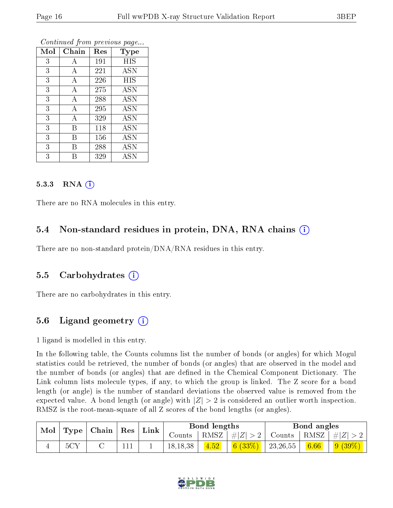| Mol | Chain | Res | Type       |
|-----|-------|-----|------------|
| 3   | А     | 191 | <b>HIS</b> |
| 3   | А     | 221 | <b>ASN</b> |
| 3   | А     | 226 | <b>HIS</b> |
| 3   | А     | 275 | <b>ASN</b> |
| 3   | А     | 288 | <b>ASN</b> |
| 3   | А     | 295 | <b>ASN</b> |
| 3   | А     | 329 | <b>ASN</b> |
| 3   | Β     | 118 | <b>ASN</b> |
| 3   | Β     | 156 | <b>ASN</b> |
| 3   | В     | 288 | ĀSN        |
| 3   | R     | 329 | ASN        |

#### $5.3.3$  RNA  $(i)$

There are no RNA molecules in this entry.

#### 5.4 Non-standard residues in protein, DNA, RNA chains (i)

There are no non-standard protein/DNA/RNA residues in this entry.

#### 5.5 Carbohydrates  $(i)$

There are no carbohydrates in this entry.

## 5.6 Ligand geometry  $(i)$

1 ligand is modelled in this entry.

In the following table, the Counts columns list the number of bonds (or angles) for which Mogul statistics could be retrieved, the number of bonds (or angles) that are observed in the model and the number of bonds (or angles) that are defined in the Chemical Component Dictionary. The Link column lists molecule types, if any, to which the group is linked. The Z score for a bond length (or angle) is the number of standard deviations the observed value is removed from the expected value. A bond length (or angle) with  $|Z| > 2$  is considered an outlier worth inspection. RMSZ is the root-mean-square of all Z scores of the bond lengths (or angles).

| Mol   Type   Chain   Res   Link |     |  |  | Bond lengths |      |                                        | Bond angles   |      |            |
|---------------------------------|-----|--|--|--------------|------|----------------------------------------|---------------|------|------------|
|                                 |     |  |  |              |      | Counts   RMSZ $\vert \#  Z  > 2 \vert$ | Counts   RMSZ |      | $ #Z  > 2$ |
|                                 | 5CY |  |  | 18, 18, 38   | 4.52 | 6(33%)                                 | 23,26,55      | 6.66 | $9(39\%)$  |

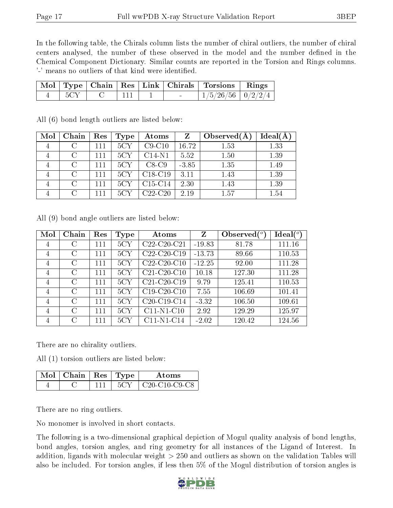In the following table, the Chirals column lists the number of chiral outliers, the number of chiral centers analysed, the number of these observed in the model and the number defined in the Chemical Component Dictionary. Similar counts are reported in the Torsion and Rings columns. '-' means no outliers of that kind were identified.

|  |  |  | Mol   Type   Chain   Res   Link   Chirals   Torsions   Rings |  |
|--|--|--|--------------------------------------------------------------|--|
|  |  |  | $1/5/26/56$   $0/2/2/4$                                      |  |

| Mol            | Chain  | Res | Type | Atoms     | Z       | Observed $(A$ | Ideal(A) |
|----------------|--------|-----|------|-----------|---------|---------------|----------|
| $\overline{4}$ |        | 111 | 5CY  | $C9-C10$  | 16.72   | 1.53          | 1.33     |
|                | C      | 111 | 5CY  | $C14-N1$  | 5.52    | 1.50          | 1.39     |
| $\overline{4}$ | $\cap$ | 111 | 5CY  | $C8-C9$   | $-3.85$ | 1.35          | 1.49     |
|                | $\cap$ | 111 | 5CY  | $C18-C19$ | 3.11    | 1.43          | 1.39     |
|                | $\cap$ | 111 | 5CY  | $C15-C14$ | 2.30    | 1.43          | 1.39     |
|                | $\cap$ | 111 | 5CY  | $C22-C20$ | 2.19    | 1.57          | 1.54     |

All (6) bond length outliers are listed below:

All (9) bond angle outliers are listed below:

| Mol            | Chain         | Res | Type | Atoms                                             | Z        | Observed $(°)$ | $Ideal(^o)$ |
|----------------|---------------|-----|------|---------------------------------------------------|----------|----------------|-------------|
| $\overline{4}$ | C             | 111 | 5CY  | $C22-C20-C21$                                     | $-19.83$ | 81.78          | 111.16      |
| $\overline{4}$ | C             | 111 | 5CY  | C <sub>22</sub> -C <sub>20</sub> -C <sub>19</sub> | $-13.73$ | 89.66          | 110.53      |
| $\overline{4}$ | $\mathcal{C}$ | 111 | 5CY  | $C22-C20-C10$                                     | $-12.25$ | 92.00          | 111.28      |
| $\overline{4}$ | $\rm C$       | 111 | 5CY  | $C21-C20-C10$                                     | 10.18    | 127.30         | 111.28      |
| $\overline{4}$ | $\rm C$       | 111 | 5CY  | C <sub>21</sub> -C <sub>20</sub> -C <sub>19</sub> | 9.79     | 125.41         | 110.53      |
| $\overline{4}$ | C             | 111 | 5CY  | $C19-C20-C10$                                     | 7.55     | 106.69         | 101.41      |
| $\overline{4}$ | $\rm C$       | 111 | 5CY  | $C20-C19-C14$                                     | $-3.32$  | 106.50         | 109.61      |
| $\overline{4}$ | $\mathcal{C}$ | 111 | 5CY  | $C11-N1-C10$                                      | 2.92     | 129.29         | 125.97      |
| $\overline{4}$ | $\mathcal{C}$ | 111 | 5CY  | $C11-N1-C14$                                      | $-2.02$  | 120.42         | 124.56      |

There are no chirality outliers.

All (1) torsion outliers are listed below:

| Mol | $ $ Chain $ $ Res $ $ Type |  | Atoms                 |
|-----|----------------------------|--|-----------------------|
|     |                            |  | $C20 - C10 - C9 - C8$ |

There are no ring outliers.

No monomer is involved in short contacts.

The following is a two-dimensional graphical depiction of Mogul quality analysis of bond lengths, bond angles, torsion angles, and ring geometry for all instances of the Ligand of Interest. In addition, ligands with molecular weight > 250 and outliers as shown on the validation Tables will also be included. For torsion angles, if less then 5% of the Mogul distribution of torsion angles is

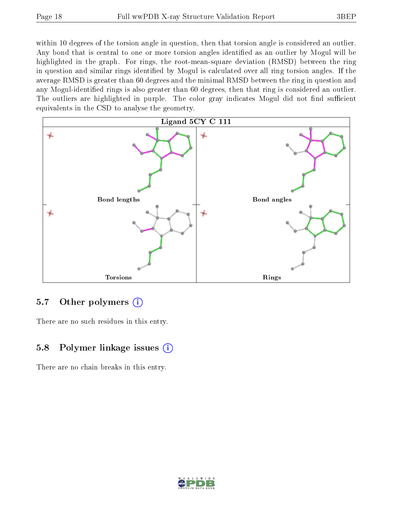within 10 degrees of the torsion angle in question, then that torsion angle is considered an outlier. Any bond that is central to one or more torsion angles identified as an outlier by Mogul will be highlighted in the graph. For rings, the root-mean-square deviation (RMSD) between the ring in question and similar rings identified by Mogul is calculated over all ring torsion angles. If the average RMSD is greater than 60 degrees and the minimal RMSD between the ring in question and any Mogul-identified rings is also greater than 60 degrees, then that ring is considered an outlier. The outliers are highlighted in purple. The color gray indicates Mogul did not find sufficient equivalents in the CSD to analyse the geometry.



#### 5.7 [O](https://www.wwpdb.org/validation/2017/XrayValidationReportHelp#nonstandard_residues_and_ligands)ther polymers  $(i)$

There are no such residues in this entry.

## 5.8 Polymer linkage issues (i)

There are no chain breaks in this entry.

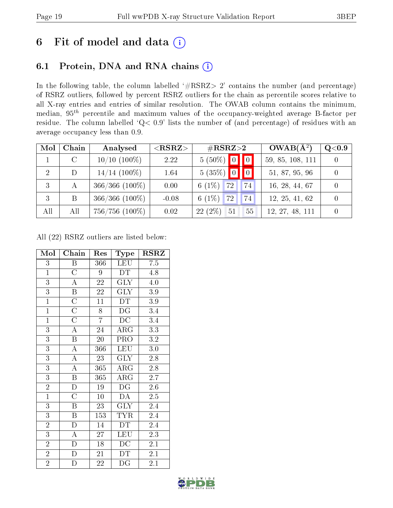# 6 Fit of model and data  $(i)$

## 6.1 Protein, DNA and RNA chains  $(i)$

In the following table, the column labelled  $#RSRZ> 2'$  contains the number (and percentage) of RSRZ outliers, followed by percent RSRZ outliers for the chain as percentile scores relative to all X-ray entries and entries of similar resolution. The OWAB column contains the minimum, median,  $95<sup>th</sup>$  percentile and maximum values of the occupancy-weighted average B-factor per residue. The column labelled ' $Q< 0.9$ ' lists the number of (and percentage) of residues with an average occupancy less than 0.9.

| Mol            | Chain   | Analysed            | $<$ RSRZ $>$ | $\rm \#RSRZ{>}2$     | $OWAB(A^2)$      | Q <sub>0.9</sub> |
|----------------|---------|---------------------|--------------|----------------------|------------------|------------------|
|                | $\rm C$ | $10/10$ $(100\%)$   | 2.22         | $5(50\%)$ 0 0        | 59, 85, 108, 111 | $\Omega$         |
| $\overline{2}$ | D       | $14/14$ (100\%)     | 1.64         | $5(35\%)$ 0 0        | 51, 87, 95, 96   | $\Omega$         |
| 3              | А       | $366/366$ (100%)    | 0.00         | $6(1\%)$<br>72<br>74 | 16, 28, 44, 67   |                  |
| -3             | B       | $366/366$ (100\%)   | $-0.08$      | $6(1\%)$<br>72<br>74 | 12, 25, 41, 62   | $\Omega$         |
| All            | All     | $756/756$ $(100\%)$ | 0.02         | 22(2%)<br>55<br>51   | 12, 27, 48, 111  | $\theta$         |

All (22) RSRZ outliers are listed below:

| Mol            | Chain                   | Res             | Type                    | $_{\rm RSRZ}$    |
|----------------|-------------------------|-----------------|-------------------------|------------------|
| 3              | Β                       | 366             | <b>LEU</b>              | 7.5              |
| $\overline{1}$ | $\overline{\rm C}$      | 9               | DT                      | 4.8              |
| $\overline{3}$ | $\overline{A}$          | $\sqrt{22}$     | $\overline{\text{GLY}}$ | 4.0              |
| $\overline{3}$ | $\overline{\mathrm{B}}$ | 22              | <b>GLY</b>              | $3.9\,$          |
| $\overline{1}$ | $\overline{\rm C}$      | $\overline{11}$ | DT                      | $\overline{3.9}$ |
| $\overline{1}$ | $\overline{\rm C}$      | 8               | DG                      | 3.4              |
| $\overline{1}$ | $\overline{\rm C}$      | $\overline{7}$  | $\overline{DC}$         | 3.4              |
| $\overline{3}$ | $\overline{A}$          | 24              | $\rm{ARG}$              | 3.3              |
| $\overline{3}$ | B                       | 20              | PRO                     | 3.2              |
| $\overline{3}$ | $\overline{\rm A}$      | 366             | <b>LEU</b>              | 3.0              |
| 3              | $\overline{\rm A}$      | 23              | <b>GLY</b>              | 2.8              |
| $\overline{3}$ | $\overline{\rm A}$      | 365             | $\rm{ARG}$              | $2.8\,$          |
| $\overline{3}$ | $\, {\bf B}$            | 365             | ARG                     | $\overline{2.7}$ |
| $\overline{2}$ | D                       | 19              | DG                      | 2.6              |
| $\overline{1}$ | $\overline{\rm C}$      | $\overline{10}$ | $\overline{DA}$         | 2.5              |
| $\overline{3}$ | B                       | 23              | <b>GLY</b>              | 2.4              |
| $\overline{3}$ | B                       | 153             | $TY\overline{R}$        | 2.4              |
| $\overline{2}$ | $\mathbf{D}$            | 14              | DT                      | 2.4              |
| 3              | A                       | 27              | LEU                     | 2.3              |
| $\overline{2}$ | $\overline{\rm D}$      | 18              | DС                      | 2.1              |
| $\overline{2}$ | $\mathbf D$             | 21              | DT                      | 2.1              |
| $\overline{2}$ | D                       | 22              | DG                      | 2.1              |

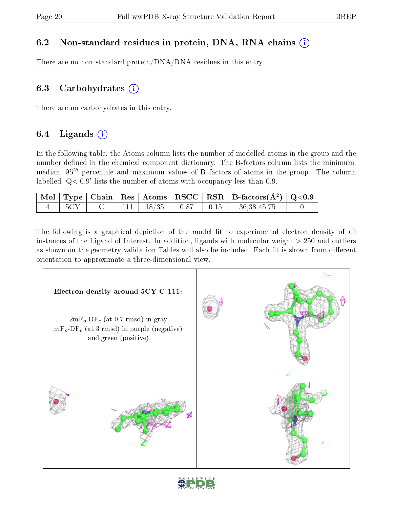## 6.2 Non-standard residues in protein, DNA, RNA chains (i)

There are no non-standard protein/DNA/RNA residues in this entry.

## 6.3 Carbohydrates  $(i)$

There are no carbohydrates in this entry.

## 6.4 Ligands  $(i)$

In the following table, the Atoms column lists the number of modelled atoms in the group and the number defined in the chemical component dictionary. The B-factors column lists the minimum, median,  $95<sup>th</sup>$  percentile and maximum values of B factors of atoms in the group. The column labelled  $Q < 0.9$ ' lists the number of atoms with occupancy less than 0.9.

|     |  |                        |      | $\mid$ Mol $\mid$ Type $\mid$ Chain $\mid$ Res $\mid$ Atoms $\mid$ RSCC $\mid$ RSR $\mid$ B-factors(A <sup>2</sup> ) $\mid$ Q<0.9 $\mid$ |  |
|-----|--|------------------------|------|------------------------------------------------------------------------------------------------------------------------------------------|--|
| 5CY |  | $111$   $18/35$   0.87 | 0.15 | 36, 38, 45, 75                                                                                                                           |  |

The following is a graphical depiction of the model fit to experimental electron density of all instances of the Ligand of Interest. In addition, ligands with molecular weight  $> 250$  and outliers as shown on the geometry validation Tables will also be included. Each fit is shown from different orientation to approximate a three-dimensional view.